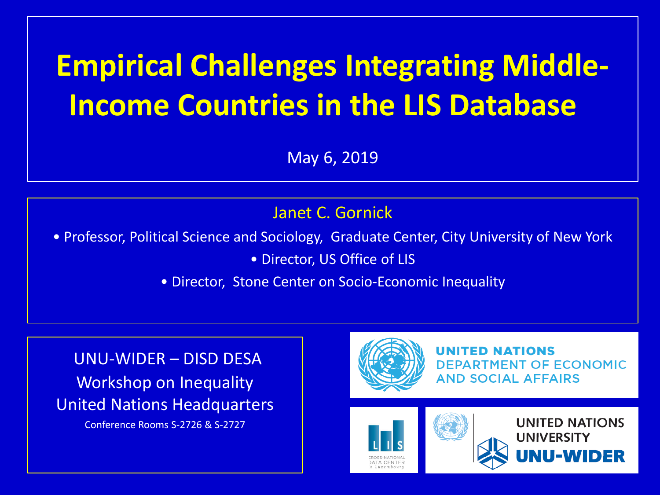# **Empirical Challenges Integrating Middle-Income Countries in the LIS Database**

May 6, 2019

Janet C. Gornick

• Professor, Political Science and Sociology, Graduate Center, City University of New York

• Director, US Office of LIS

• Director, Stone Center on Socio-Economic Inequality

UNU-WIDER – DISD DESA Workshop on Inequality United Nations Headquarters Conference Rooms S-2726 & S-2727



UNITED NATIONS **DEPARTMENT OF ECONOMIC AND SOCIAL AFFAIRS** 





**UNITED NATIONS UNIVERSITY**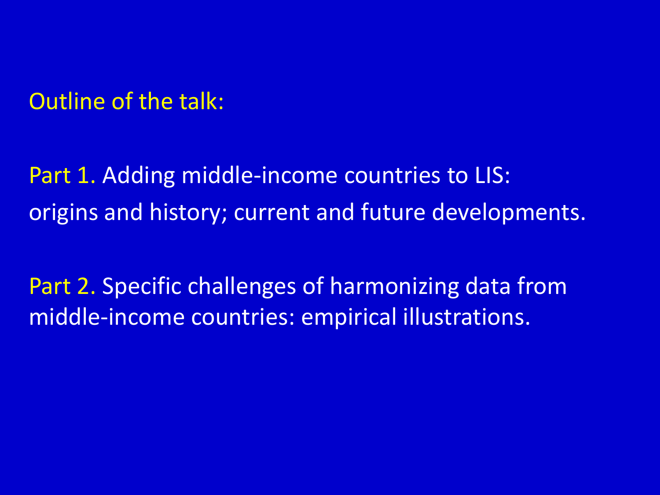Outline of the talk:

Part 1. Adding middle-income countries to LIS: origins and history; current and future developments.

Part 2. Specific challenges of harmonizing data from middle-income countries: empirical illustrations.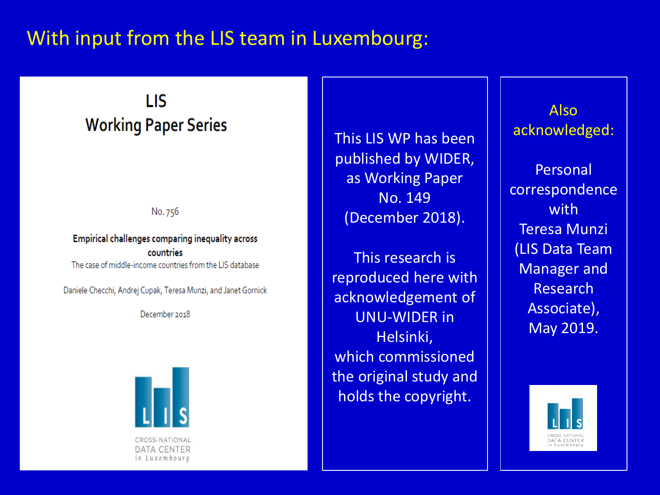## With input from the LIS team in Luxembourg:

**LIS Working Paper Series** 

#### No. 756

Empirical challenges comparing inequality across countries The case of middle-income countries from the LIS database

Daniele Checchi, Andrej Cupak, Teresa Munzi, and Janet Gornick

December 2018



This LIS WP has been published by WIDER, as Working Paper No. 149 (December 2018).

This research is reproduced here with acknowledgement of UNU-WIDER in Helsinki, which commissioned the original study and holds the copyright.

Also acknowledged:

Personal correspondence with Teresa Munzi (LIS Data Team Manager and Research Associate), May 2019.

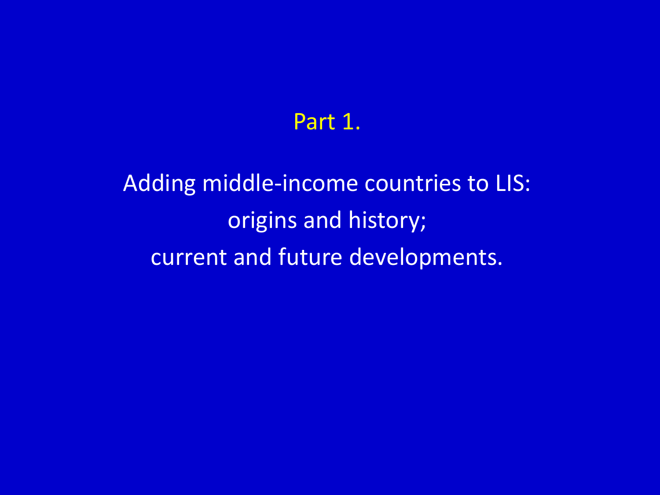# Part 1.

Adding middle-income countries to LIS: origins and history; current and future developments.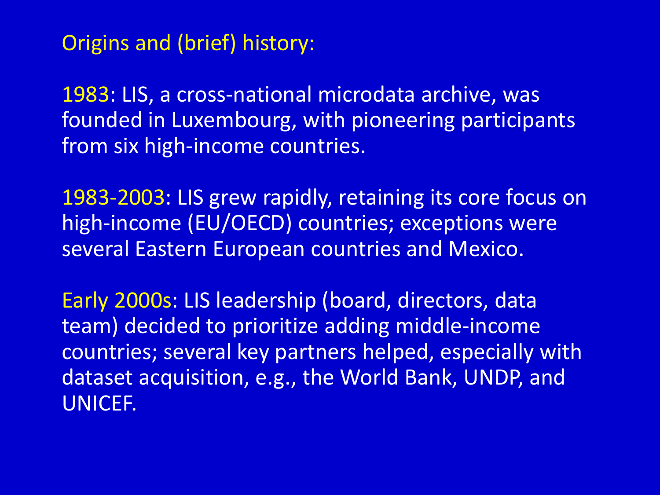# Origins and (brief) history:

1983: LIS, a cross-national microdata archive, was founded in Luxembourg, with pioneering participants from six high-income countries.

1983-2003: LIS grew rapidly, retaining its core focus on high-income (EU/OECD) countries; exceptions were several Eastern European countries and Mexico.

Early 2000s: LIS leadership (board, directors, data team) decided to prioritize adding middle-income countries; several key partners helped, especially with dataset acquisition, e.g., the World Bank, UNDP, and UNICEF.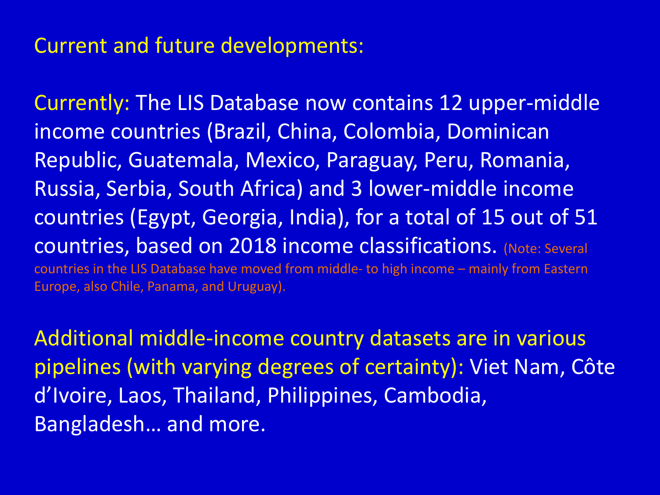# Current and future developments:

Currently: The LIS Database now contains 12 upper-middle income countries (Brazil, China, Colombia, Dominican Republic, Guatemala, Mexico, Paraguay, Peru, Romania, Russia, Serbia, South Africa) and 3 lower-middle income countries (Egypt, Georgia, India), for a total of 15 out of 51 countries, based on 2018 income classifications. (Note: Several countries in the LIS Database have moved from middle- to high income – mainly from Eastern Europe, also Chile, Panama, and Uruguay).

Additional middle-income country datasets are in various pipelines (with varying degrees of certainty): Viet Nam, Côte d'Ivoire, Laos, Thailand, Philippines, Cambodia, Bangladesh… and more.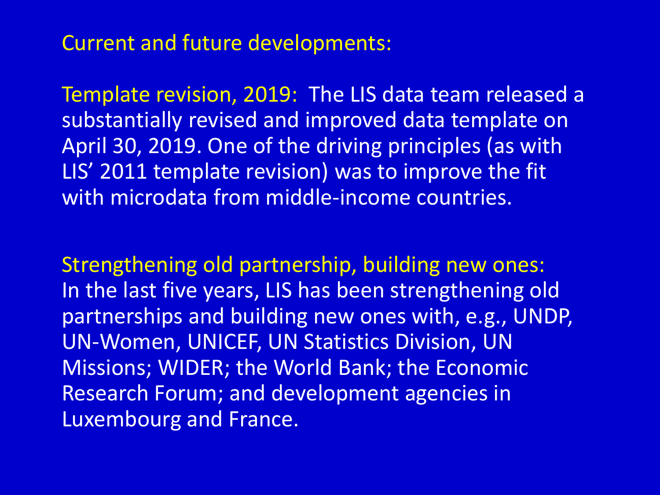# Current and future developments:

Template revision, 2019: The LIS data team released a substantially revised and improved data template on April 30, 2019. One of the driving principles (as with LIS' 2011 template revision) was to improve the fit with microdata from middle-income countries.

Strengthening old partnership, building new ones: In the last five years, LIS has been strengthening old partnerships and building new ones with, e.g., UNDP, UN-Women, UNICEF, UN Statistics Division, UN Missions; WIDER; the World Bank; the Economic Research Forum; and development agencies in Luxembourg and France.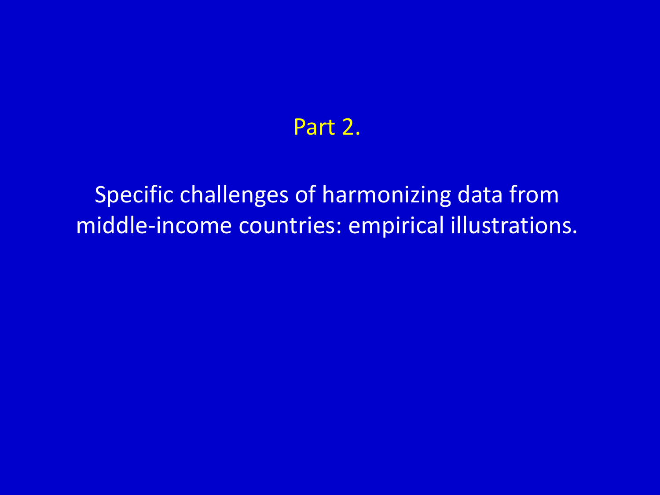# Part 2.

Specific challenges of harmonizing data from middle-income countries: empirical illustrations.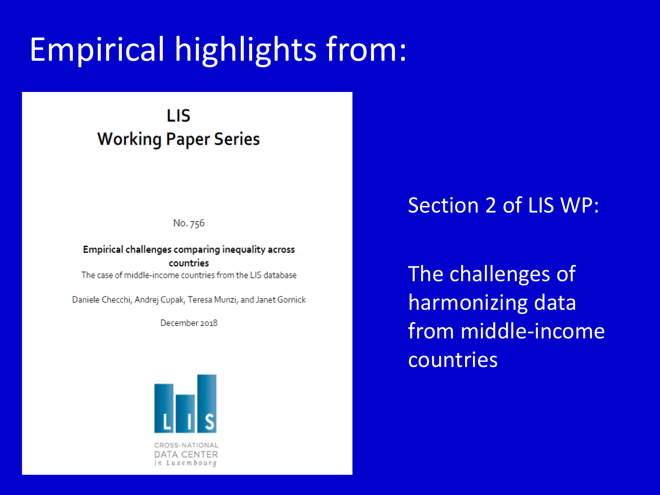# Empirical highlights from:

### LIS **Working Paper Series**

No. 756

Empirical challenges comparing inequality across countries The case of middle-income countries from the LIS database

Daniele Checchi, Andrej Cupak, Teresa Munzi, and Janet Gornick

December 2018



# Section 2 of LIS WP:

The challenges of harmonizing data from middle-income countries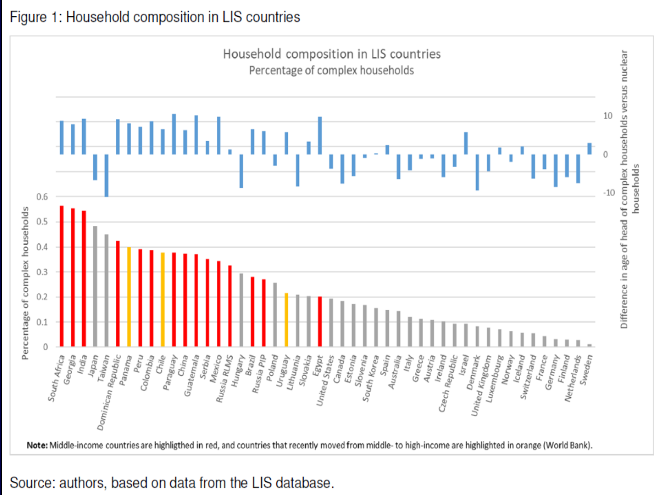### Figure 1: Household composition in LIS countries

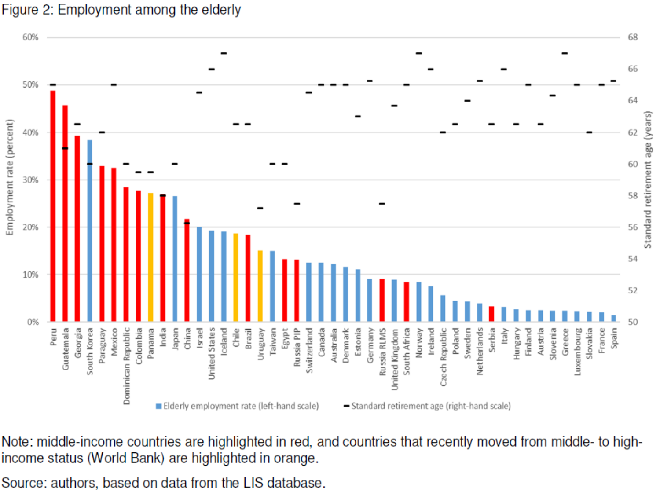Figure 2: Employment among the elderly



Note: middle-income countries are highlighted in red, and countries that recently moved from middle- to highincome status (World Bank) are highlighted in orange.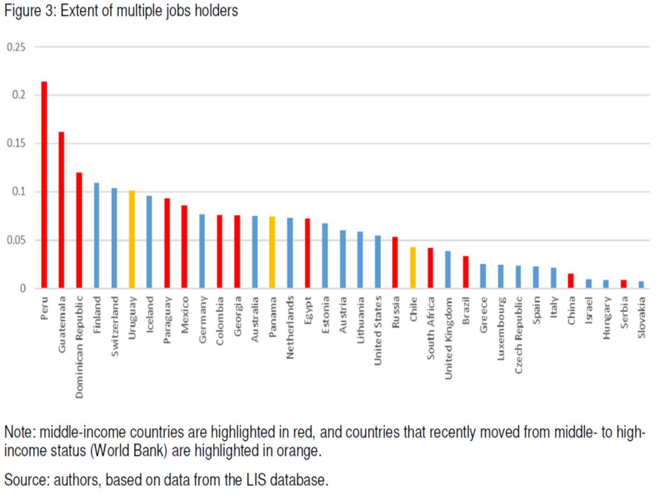### Figure 3: Extent of multiple jobs holders



Note: middle-income countries are highlighted in red, and countries that recently moved from middle- to highincome status (World Bank) are highlighted in orange.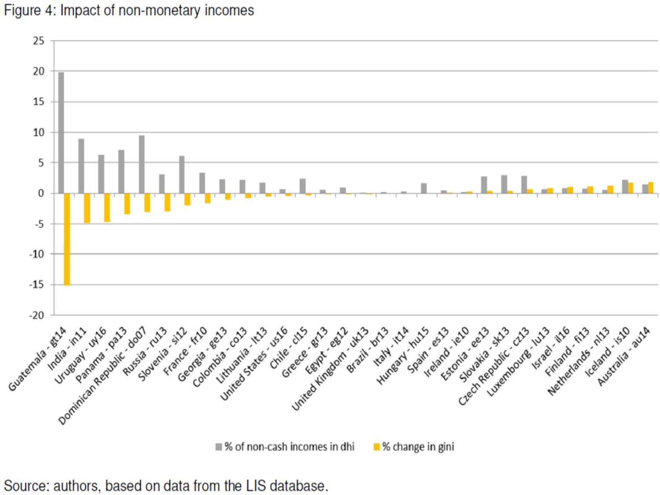### Figure 4: Impact of non-monetary incomes

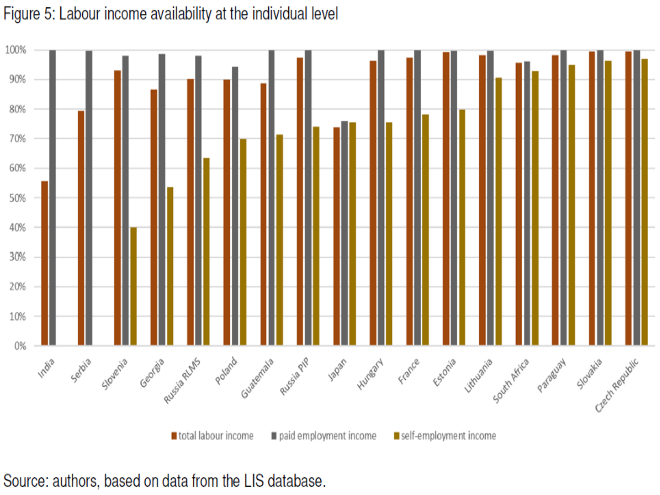#### 100% 90% 80% 70% 60% 50% 40% 30% 20% 10% Georgia Russia Rtufs Poland Guatemala 0% Russiaple Slovenia Hungary Estonia Japan France India Lithuania South Arica Paraguay Slovakia Crechteryblic Serbia total labour income paid employment income self-employment income

### Figure 5: Labour income availability at the individual level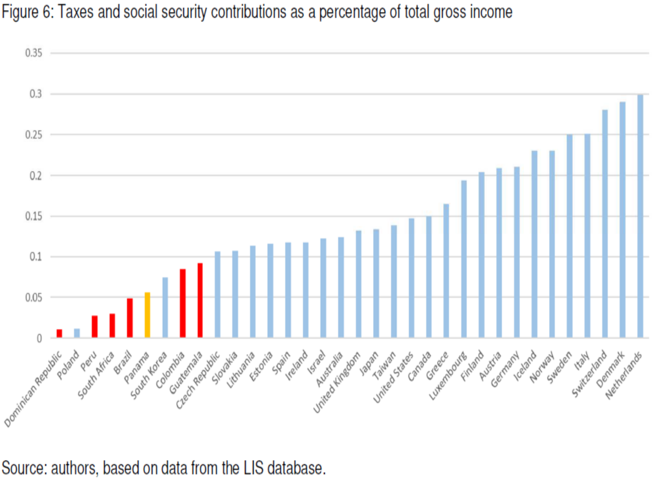Figure 6: Taxes and social security contributions as a percentage of total gross income

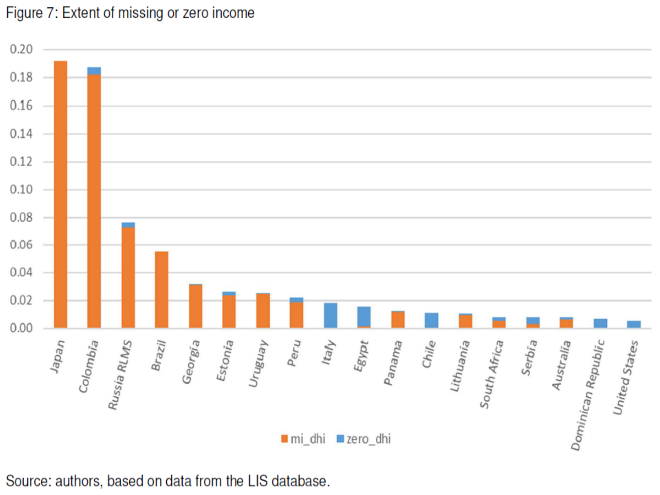### Figure 7: Extent of missing or zero income